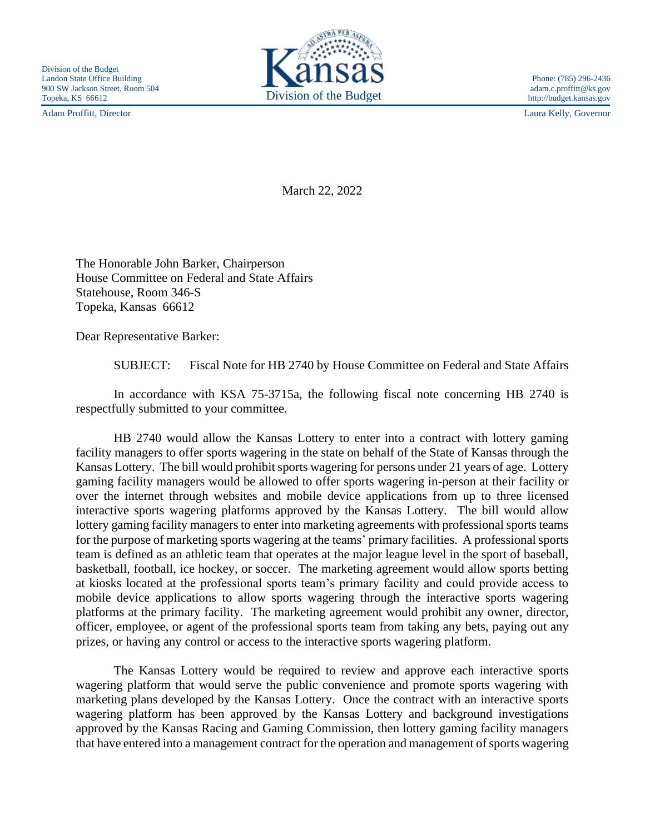Adam Proffitt, Director Laura Kelly, Governor



http://budget.kansas.gov

March 22, 2022

The Honorable John Barker, Chairperson House Committee on Federal and State Affairs Statehouse, Room 346-S Topeka, Kansas 66612

Dear Representative Barker:

SUBJECT: Fiscal Note for HB 2740 by House Committee on Federal and State Affairs

In accordance with KSA 75-3715a, the following fiscal note concerning HB 2740 is respectfully submitted to your committee.

HB 2740 would allow the Kansas Lottery to enter into a contract with lottery gaming facility managers to offer sports wagering in the state on behalf of the State of Kansas through the Kansas Lottery. The bill would prohibit sports wagering for persons under 21 years of age. Lottery gaming facility managers would be allowed to offer sports wagering in-person at their facility or over the internet through websites and mobile device applications from up to three licensed interactive sports wagering platforms approved by the Kansas Lottery. The bill would allow lottery gaming facility managers to enter into marketing agreements with professional sports teams for the purpose of marketing sports wagering at the teams' primary facilities. A professional sports team is defined as an athletic team that operates at the major league level in the sport of baseball, basketball, football, ice hockey, or soccer. The marketing agreement would allow sports betting at kiosks located at the professional sports team's primary facility and could provide access to mobile device applications to allow sports wagering through the interactive sports wagering platforms at the primary facility. The marketing agreement would prohibit any owner, director, officer, employee, or agent of the professional sports team from taking any bets, paying out any prizes, or having any control or access to the interactive sports wagering platform.

The Kansas Lottery would be required to review and approve each interactive sports wagering platform that would serve the public convenience and promote sports wagering with marketing plans developed by the Kansas Lottery. Once the contract with an interactive sports wagering platform has been approved by the Kansas Lottery and background investigations approved by the Kansas Racing and Gaming Commission, then lottery gaming facility managers that have entered into a management contract for the operation and management of sports wagering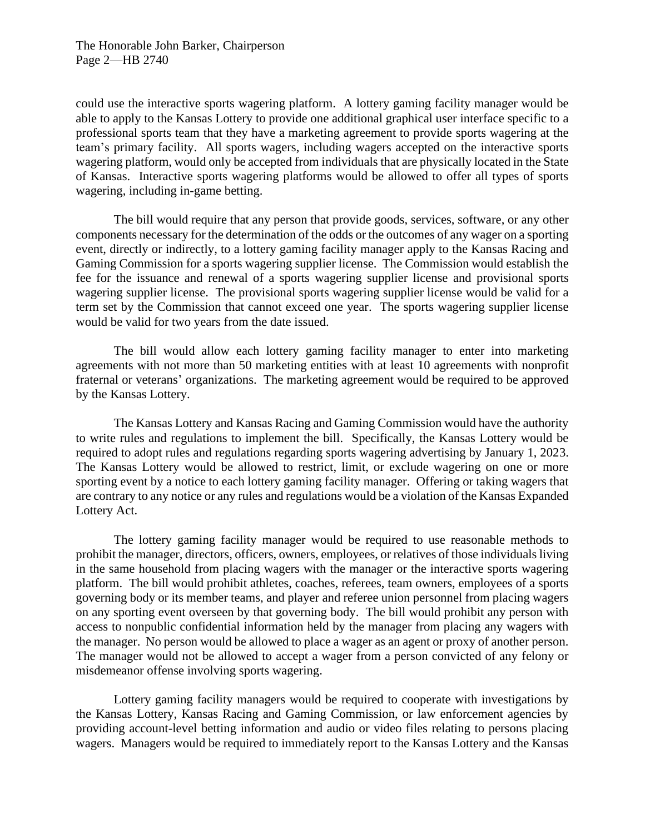could use the interactive sports wagering platform. A lottery gaming facility manager would be able to apply to the Kansas Lottery to provide one additional graphical user interface specific to a professional sports team that they have a marketing agreement to provide sports wagering at the team's primary facility. All sports wagers, including wagers accepted on the interactive sports wagering platform, would only be accepted from individuals that are physically located in the State of Kansas. Interactive sports wagering platforms would be allowed to offer all types of sports wagering, including in-game betting.

The bill would require that any person that provide goods, services, software, or any other components necessary for the determination of the odds or the outcomes of any wager on a sporting event, directly or indirectly, to a lottery gaming facility manager apply to the Kansas Racing and Gaming Commission for a sports wagering supplier license. The Commission would establish the fee for the issuance and renewal of a sports wagering supplier license and provisional sports wagering supplier license. The provisional sports wagering supplier license would be valid for a term set by the Commission that cannot exceed one year. The sports wagering supplier license would be valid for two years from the date issued.

The bill would allow each lottery gaming facility manager to enter into marketing agreements with not more than 50 marketing entities with at least 10 agreements with nonprofit fraternal or veterans' organizations. The marketing agreement would be required to be approved by the Kansas Lottery.

The Kansas Lottery and Kansas Racing and Gaming Commission would have the authority to write rules and regulations to implement the bill. Specifically, the Kansas Lottery would be required to adopt rules and regulations regarding sports wagering advertising by January 1, 2023. The Kansas Lottery would be allowed to restrict, limit, or exclude wagering on one or more sporting event by a notice to each lottery gaming facility manager. Offering or taking wagers that are contrary to any notice or any rules and regulations would be a violation of the Kansas Expanded Lottery Act.

The lottery gaming facility manager would be required to use reasonable methods to prohibit the manager, directors, officers, owners, employees, or relatives of those individuals living in the same household from placing wagers with the manager or the interactive sports wagering platform. The bill would prohibit athletes, coaches, referees, team owners, employees of a sports governing body or its member teams, and player and referee union personnel from placing wagers on any sporting event overseen by that governing body. The bill would prohibit any person with access to nonpublic confidential information held by the manager from placing any wagers with the manager. No person would be allowed to place a wager as an agent or proxy of another person. The manager would not be allowed to accept a wager from a person convicted of any felony or misdemeanor offense involving sports wagering.

Lottery gaming facility managers would be required to cooperate with investigations by the Kansas Lottery, Kansas Racing and Gaming Commission, or law enforcement agencies by providing account-level betting information and audio or video files relating to persons placing wagers. Managers would be required to immediately report to the Kansas Lottery and the Kansas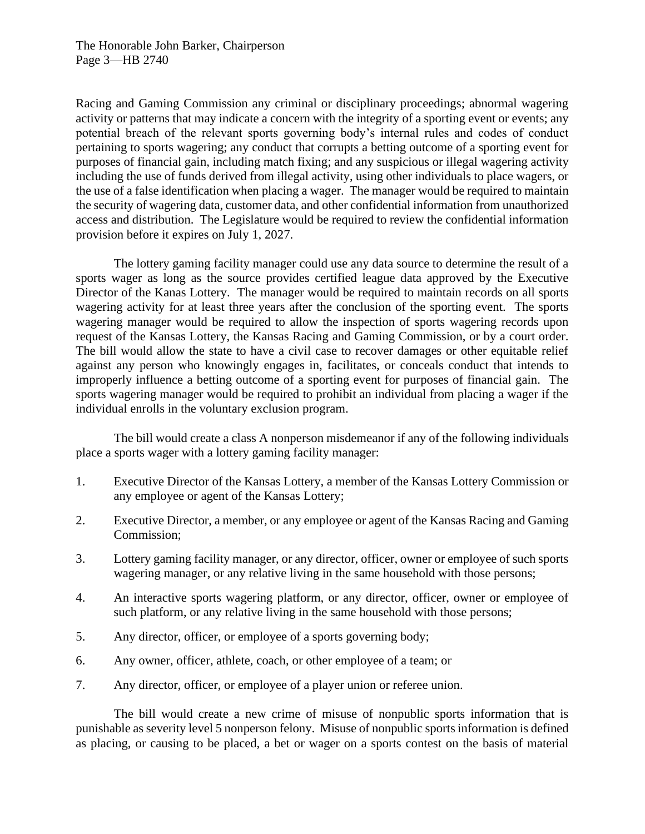Racing and Gaming Commission any criminal or disciplinary proceedings; abnormal wagering activity or patterns that may indicate a concern with the integrity of a sporting event or events; any potential breach of the relevant sports governing body's internal rules and codes of conduct pertaining to sports wagering; any conduct that corrupts a betting outcome of a sporting event for purposes of financial gain, including match fixing; and any suspicious or illegal wagering activity including the use of funds derived from illegal activity, using other individuals to place wagers, or the use of a false identification when placing a wager. The manager would be required to maintain the security of wagering data, customer data, and other confidential information from unauthorized access and distribution. The Legislature would be required to review the confidential information provision before it expires on July 1, 2027.

The lottery gaming facility manager could use any data source to determine the result of a sports wager as long as the source provides certified league data approved by the Executive Director of the Kanas Lottery. The manager would be required to maintain records on all sports wagering activity for at least three years after the conclusion of the sporting event. The sports wagering manager would be required to allow the inspection of sports wagering records upon request of the Kansas Lottery, the Kansas Racing and Gaming Commission, or by a court order. The bill would allow the state to have a civil case to recover damages or other equitable relief against any person who knowingly engages in, facilitates, or conceals conduct that intends to improperly influence a betting outcome of a sporting event for purposes of financial gain. The sports wagering manager would be required to prohibit an individual from placing a wager if the individual enrolls in the voluntary exclusion program.

The bill would create a class A nonperson misdemeanor if any of the following individuals place a sports wager with a lottery gaming facility manager:

- 1. Executive Director of the Kansas Lottery, a member of the Kansas Lottery Commission or any employee or agent of the Kansas Lottery;
- 2. Executive Director, a member, or any employee or agent of the Kansas Racing and Gaming Commission;
- 3. Lottery gaming facility manager, or any director, officer, owner or employee of such sports wagering manager, or any relative living in the same household with those persons;
- 4. An interactive sports wagering platform, or any director, officer, owner or employee of such platform, or any relative living in the same household with those persons;
- 5. Any director, officer, or employee of a sports governing body;
- 6. Any owner, officer, athlete, coach, or other employee of a team; or
- 7. Any director, officer, or employee of a player union or referee union.

The bill would create a new crime of misuse of nonpublic sports information that is punishable as severity level 5 nonperson felony. Misuse of nonpublic sports information is defined as placing, or causing to be placed, a bet or wager on a sports contest on the basis of material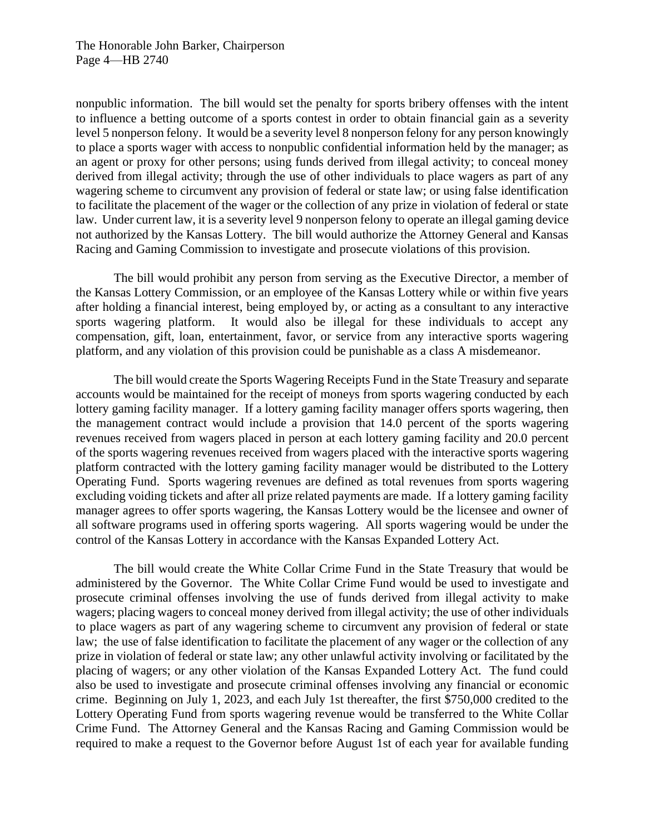nonpublic information. The bill would set the penalty for sports bribery offenses with the intent to influence a betting outcome of a sports contest in order to obtain financial gain as a severity level 5 nonperson felony. It would be a severity level 8 nonperson felony for any person knowingly to place a sports wager with access to nonpublic confidential information held by the manager; as an agent or proxy for other persons; using funds derived from illegal activity; to conceal money derived from illegal activity; through the use of other individuals to place wagers as part of any wagering scheme to circumvent any provision of federal or state law; or using false identification to facilitate the placement of the wager or the collection of any prize in violation of federal or state law. Under current law, it is a severity level 9 nonperson felony to operate an illegal gaming device not authorized by the Kansas Lottery. The bill would authorize the Attorney General and Kansas Racing and Gaming Commission to investigate and prosecute violations of this provision.

The bill would prohibit any person from serving as the Executive Director, a member of the Kansas Lottery Commission, or an employee of the Kansas Lottery while or within five years after holding a financial interest, being employed by, or acting as a consultant to any interactive sports wagering platform. It would also be illegal for these individuals to accept any compensation, gift, loan, entertainment, favor, or service from any interactive sports wagering platform, and any violation of this provision could be punishable as a class A misdemeanor.

The bill would create the Sports Wagering Receipts Fund in the State Treasury and separate accounts would be maintained for the receipt of moneys from sports wagering conducted by each lottery gaming facility manager. If a lottery gaming facility manager offers sports wagering, then the management contract would include a provision that 14.0 percent of the sports wagering revenues received from wagers placed in person at each lottery gaming facility and 20.0 percent of the sports wagering revenues received from wagers placed with the interactive sports wagering platform contracted with the lottery gaming facility manager would be distributed to the Lottery Operating Fund. Sports wagering revenues are defined as total revenues from sports wagering excluding voiding tickets and after all prize related payments are made. If a lottery gaming facility manager agrees to offer sports wagering, the Kansas Lottery would be the licensee and owner of all software programs used in offering sports wagering. All sports wagering would be under the control of the Kansas Lottery in accordance with the Kansas Expanded Lottery Act.

The bill would create the White Collar Crime Fund in the State Treasury that would be administered by the Governor. The White Collar Crime Fund would be used to investigate and prosecute criminal offenses involving the use of funds derived from illegal activity to make wagers; placing wagers to conceal money derived from illegal activity; the use of other individuals to place wagers as part of any wagering scheme to circumvent any provision of federal or state law; the use of false identification to facilitate the placement of any wager or the collection of any prize in violation of federal or state law; any other unlawful activity involving or facilitated by the placing of wagers; or any other violation of the Kansas Expanded Lottery Act. The fund could also be used to investigate and prosecute criminal offenses involving any financial or economic crime. Beginning on July 1, 2023, and each July 1st thereafter, the first \$750,000 credited to the Lottery Operating Fund from sports wagering revenue would be transferred to the White Collar Crime Fund. The Attorney General and the Kansas Racing and Gaming Commission would be required to make a request to the Governor before August 1st of each year for available funding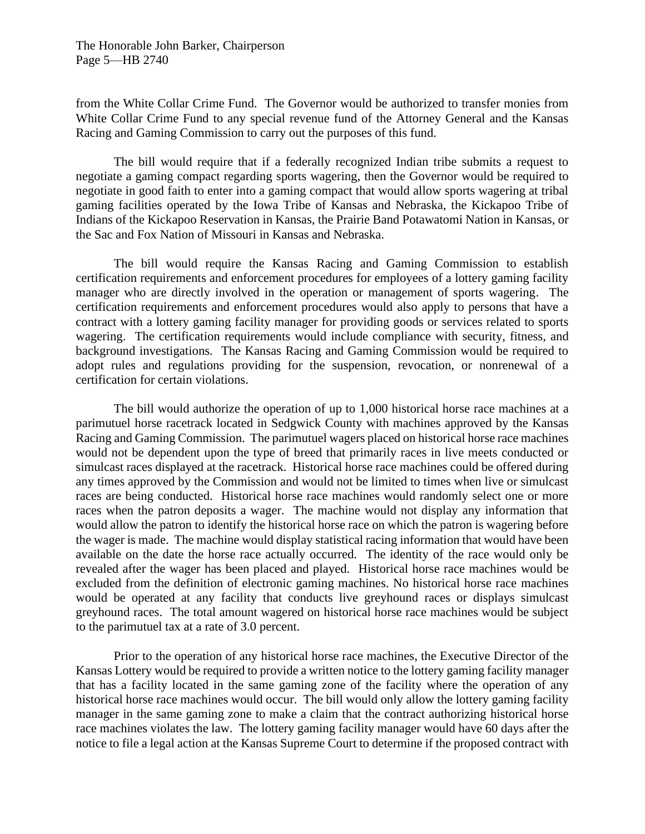from the White Collar Crime Fund. The Governor would be authorized to transfer monies from White Collar Crime Fund to any special revenue fund of the Attorney General and the Kansas Racing and Gaming Commission to carry out the purposes of this fund.

The bill would require that if a federally recognized Indian tribe submits a request to negotiate a gaming compact regarding sports wagering, then the Governor would be required to negotiate in good faith to enter into a gaming compact that would allow sports wagering at tribal gaming facilities operated by the Iowa Tribe of Kansas and Nebraska, the Kickapoo Tribe of Indians of the Kickapoo Reservation in Kansas, the Prairie Band Potawatomi Nation in Kansas, or the Sac and Fox Nation of Missouri in Kansas and Nebraska.

The bill would require the Kansas Racing and Gaming Commission to establish certification requirements and enforcement procedures for employees of a lottery gaming facility manager who are directly involved in the operation or management of sports wagering. The certification requirements and enforcement procedures would also apply to persons that have a contract with a lottery gaming facility manager for providing goods or services related to sports wagering. The certification requirements would include compliance with security, fitness, and background investigations. The Kansas Racing and Gaming Commission would be required to adopt rules and regulations providing for the suspension, revocation, or nonrenewal of a certification for certain violations.

The bill would authorize the operation of up to 1,000 historical horse race machines at a parimutuel horse racetrack located in Sedgwick County with machines approved by the Kansas Racing and Gaming Commission. The parimutuel wagers placed on historical horse race machines would not be dependent upon the type of breed that primarily races in live meets conducted or simulcast races displayed at the racetrack. Historical horse race machines could be offered during any times approved by the Commission and would not be limited to times when live or simulcast races are being conducted. Historical horse race machines would randomly select one or more races when the patron deposits a wager. The machine would not display any information that would allow the patron to identify the historical horse race on which the patron is wagering before the wager is made. The machine would display statistical racing information that would have been available on the date the horse race actually occurred. The identity of the race would only be revealed after the wager has been placed and played. Historical horse race machines would be excluded from the definition of electronic gaming machines. No historical horse race machines would be operated at any facility that conducts live greyhound races or displays simulcast greyhound races. The total amount wagered on historical horse race machines would be subject to the parimutuel tax at a rate of 3.0 percent.

Prior to the operation of any historical horse race machines, the Executive Director of the Kansas Lottery would be required to provide a written notice to the lottery gaming facility manager that has a facility located in the same gaming zone of the facility where the operation of any historical horse race machines would occur. The bill would only allow the lottery gaming facility manager in the same gaming zone to make a claim that the contract authorizing historical horse race machines violates the law. The lottery gaming facility manager would have 60 days after the notice to file a legal action at the Kansas Supreme Court to determine if the proposed contract with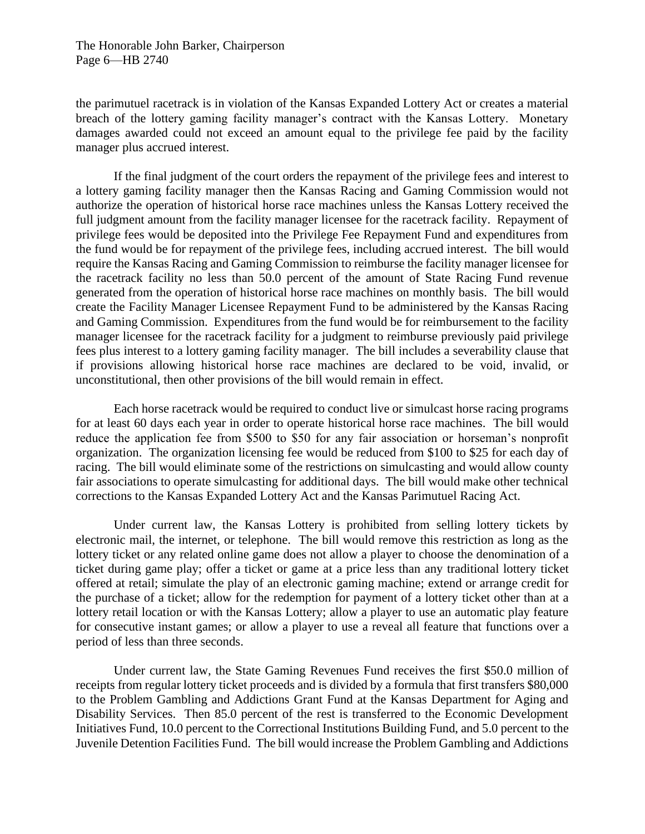The Honorable John Barker, Chairperson Page 6—HB 2740

the parimutuel racetrack is in violation of the Kansas Expanded Lottery Act or creates a material breach of the lottery gaming facility manager's contract with the Kansas Lottery. Monetary damages awarded could not exceed an amount equal to the privilege fee paid by the facility manager plus accrued interest.

If the final judgment of the court orders the repayment of the privilege fees and interest to a lottery gaming facility manager then the Kansas Racing and Gaming Commission would not authorize the operation of historical horse race machines unless the Kansas Lottery received the full judgment amount from the facility manager licensee for the racetrack facility. Repayment of privilege fees would be deposited into the Privilege Fee Repayment Fund and expenditures from the fund would be for repayment of the privilege fees, including accrued interest. The bill would require the Kansas Racing and Gaming Commission to reimburse the facility manager licensee for the racetrack facility no less than 50.0 percent of the amount of State Racing Fund revenue generated from the operation of historical horse race machines on monthly basis. The bill would create the Facility Manager Licensee Repayment Fund to be administered by the Kansas Racing and Gaming Commission. Expenditures from the fund would be for reimbursement to the facility manager licensee for the racetrack facility for a judgment to reimburse previously paid privilege fees plus interest to a lottery gaming facility manager. The bill includes a severability clause that if provisions allowing historical horse race machines are declared to be void, invalid, or unconstitutional, then other provisions of the bill would remain in effect.

Each horse racetrack would be required to conduct live or simulcast horse racing programs for at least 60 days each year in order to operate historical horse race machines. The bill would reduce the application fee from \$500 to \$50 for any fair association or horseman's nonprofit organization. The organization licensing fee would be reduced from \$100 to \$25 for each day of racing. The bill would eliminate some of the restrictions on simulcasting and would allow county fair associations to operate simulcasting for additional days. The bill would make other technical corrections to the Kansas Expanded Lottery Act and the Kansas Parimutuel Racing Act.

Under current law, the Kansas Lottery is prohibited from selling lottery tickets by electronic mail, the internet, or telephone. The bill would remove this restriction as long as the lottery ticket or any related online game does not allow a player to choose the denomination of a ticket during game play; offer a ticket or game at a price less than any traditional lottery ticket offered at retail; simulate the play of an electronic gaming machine; extend or arrange credit for the purchase of a ticket; allow for the redemption for payment of a lottery ticket other than at a lottery retail location or with the Kansas Lottery; allow a player to use an automatic play feature for consecutive instant games; or allow a player to use a reveal all feature that functions over a period of less than three seconds.

Under current law, the State Gaming Revenues Fund receives the first \$50.0 million of receipts from regular lottery ticket proceeds and is divided by a formula that first transfers \$80,000 to the Problem Gambling and Addictions Grant Fund at the Kansas Department for Aging and Disability Services. Then 85.0 percent of the rest is transferred to the Economic Development Initiatives Fund, 10.0 percent to the Correctional Institutions Building Fund, and 5.0 percent to the Juvenile Detention Facilities Fund. The bill would increase the Problem Gambling and Addictions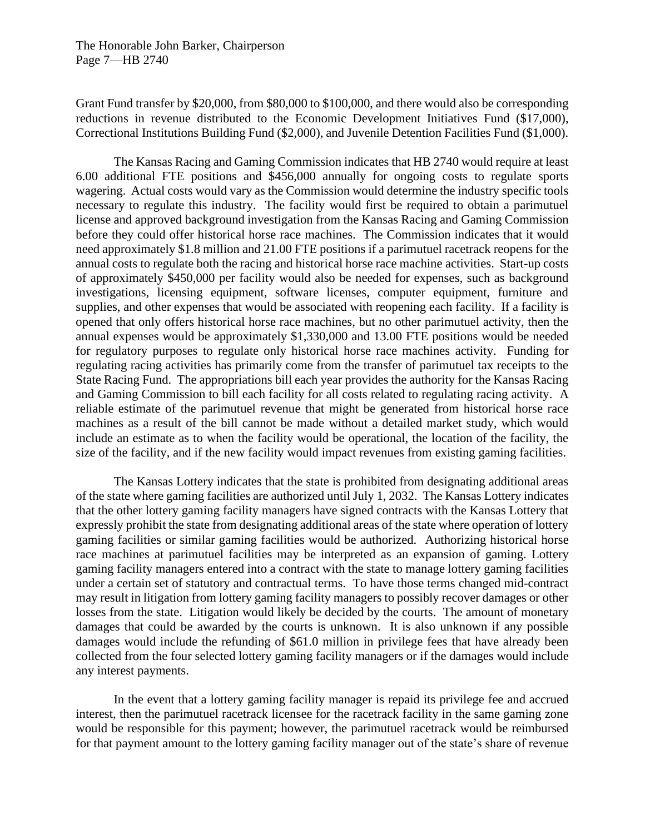Grant Fund transfer by \$20,000, from \$80,000 to \$100,000, and there would also be corresponding reductions in revenue distributed to the Economic Development Initiatives Fund (\$17,000), Correctional Institutions Building Fund (\$2,000), and Juvenile Detention Facilities Fund (\$1,000).

The Kansas Racing and Gaming Commission indicates that HB 2740 would require at least 6.00 additional FTE positions and \$456,000 annually for ongoing costs to regulate sports wagering. Actual costs would vary as the Commission would determine the industry specific tools necessary to regulate this industry. The facility would first be required to obtain a parimutuel license and approved background investigation from the Kansas Racing and Gaming Commission before they could offer historical horse race machines. The Commission indicates that it would need approximately \$1.8 million and 21.00 FTE positions if a parimutuel racetrack reopens for the annual costs to regulate both the racing and historical horse race machine activities. Start-up costs of approximately \$450,000 per facility would also be needed for expenses, such as background investigations, licensing equipment, software licenses, computer equipment, furniture and supplies, and other expenses that would be associated with reopening each facility. If a facility is opened that only offers historical horse race machines, but no other parimutuel activity, then the annual expenses would be approximately \$1,330,000 and 13.00 FTE positions would be needed for regulatory purposes to regulate only historical horse race machines activity. Funding for regulating racing activities has primarily come from the transfer of parimutuel tax receipts to the State Racing Fund. The appropriations bill each year provides the authority for the Kansas Racing and Gaming Commission to bill each facility for all costs related to regulating racing activity. A reliable estimate of the parimutuel revenue that might be generated from historical horse race machines as a result of the bill cannot be made without a detailed market study, which would include an estimate as to when the facility would be operational, the location of the facility, the size of the facility, and if the new facility would impact revenues from existing gaming facilities.

The Kansas Lottery indicates that the state is prohibited from designating additional areas of the state where gaming facilities are authorized until July 1, 2032. The Kansas Lottery indicates that the other lottery gaming facility managers have signed contracts with the Kansas Lottery that expressly prohibit the state from designating additional areas of the state where operation of lottery gaming facilities or similar gaming facilities would be authorized. Authorizing historical horse race machines at parimutuel facilities may be interpreted as an expansion of gaming. Lottery gaming facility managers entered into a contract with the state to manage lottery gaming facilities under a certain set of statutory and contractual terms. To have those terms changed mid-contract may result in litigation from lottery gaming facility managers to possibly recover damages or other losses from the state. Litigation would likely be decided by the courts. The amount of monetary damages that could be awarded by the courts is unknown. It is also unknown if any possible damages would include the refunding of \$61.0 million in privilege fees that have already been collected from the four selected lottery gaming facility managers or if the damages would include any interest payments.

In the event that a lottery gaming facility manager is repaid its privilege fee and accrued interest, then the parimutuel racetrack licensee for the racetrack facility in the same gaming zone would be responsible for this payment; however, the parimutuel racetrack would be reimbursed for that payment amount to the lottery gaming facility manager out of the state's share of revenue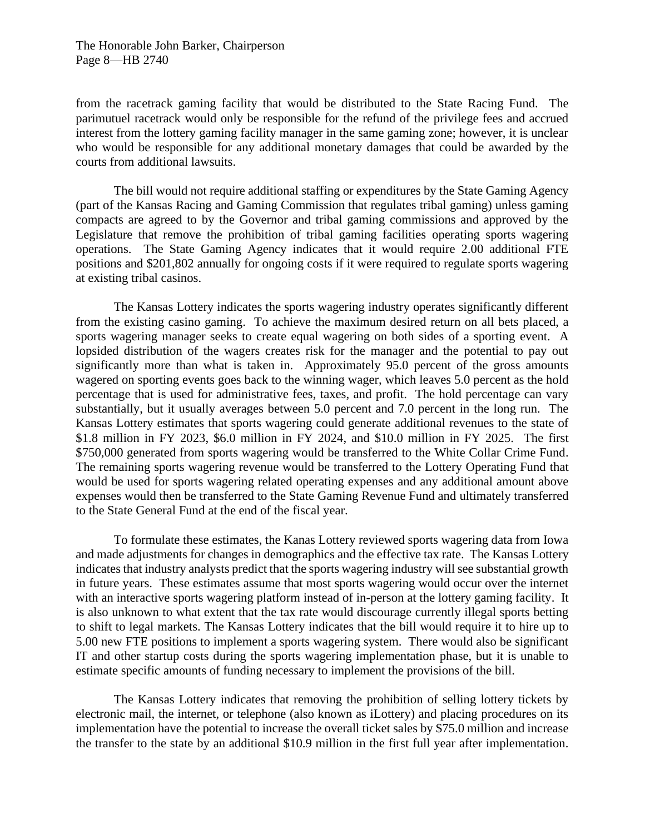The Honorable John Barker, Chairperson Page 8—HB 2740

from the racetrack gaming facility that would be distributed to the State Racing Fund. The parimutuel racetrack would only be responsible for the refund of the privilege fees and accrued interest from the lottery gaming facility manager in the same gaming zone; however, it is unclear who would be responsible for any additional monetary damages that could be awarded by the courts from additional lawsuits.

The bill would not require additional staffing or expenditures by the State Gaming Agency (part of the Kansas Racing and Gaming Commission that regulates tribal gaming) unless gaming compacts are agreed to by the Governor and tribal gaming commissions and approved by the Legislature that remove the prohibition of tribal gaming facilities operating sports wagering operations. The State Gaming Agency indicates that it would require 2.00 additional FTE positions and \$201,802 annually for ongoing costs if it were required to regulate sports wagering at existing tribal casinos.

The Kansas Lottery indicates the sports wagering industry operates significantly different from the existing casino gaming. To achieve the maximum desired return on all bets placed, a sports wagering manager seeks to create equal wagering on both sides of a sporting event. A lopsided distribution of the wagers creates risk for the manager and the potential to pay out significantly more than what is taken in. Approximately 95.0 percent of the gross amounts wagered on sporting events goes back to the winning wager, which leaves 5.0 percent as the hold percentage that is used for administrative fees, taxes, and profit. The hold percentage can vary substantially, but it usually averages between 5.0 percent and 7.0 percent in the long run. The Kansas Lottery estimates that sports wagering could generate additional revenues to the state of \$1.8 million in FY 2023, \$6.0 million in FY 2024, and \$10.0 million in FY 2025. The first \$750,000 generated from sports wagering would be transferred to the White Collar Crime Fund. The remaining sports wagering revenue would be transferred to the Lottery Operating Fund that would be used for sports wagering related operating expenses and any additional amount above expenses would then be transferred to the State Gaming Revenue Fund and ultimately transferred to the State General Fund at the end of the fiscal year.

To formulate these estimates, the Kanas Lottery reviewed sports wagering data from Iowa and made adjustments for changes in demographics and the effective tax rate. The Kansas Lottery indicates that industry analysts predict that the sports wagering industry will see substantial growth in future years. These estimates assume that most sports wagering would occur over the internet with an interactive sports wagering platform instead of in-person at the lottery gaming facility. It is also unknown to what extent that the tax rate would discourage currently illegal sports betting to shift to legal markets. The Kansas Lottery indicates that the bill would require it to hire up to 5.00 new FTE positions to implement a sports wagering system. There would also be significant IT and other startup costs during the sports wagering implementation phase, but it is unable to estimate specific amounts of funding necessary to implement the provisions of the bill.

The Kansas Lottery indicates that removing the prohibition of selling lottery tickets by electronic mail, the internet, or telephone (also known as iLottery) and placing procedures on its implementation have the potential to increase the overall ticket sales by \$75.0 million and increase the transfer to the state by an additional \$10.9 million in the first full year after implementation.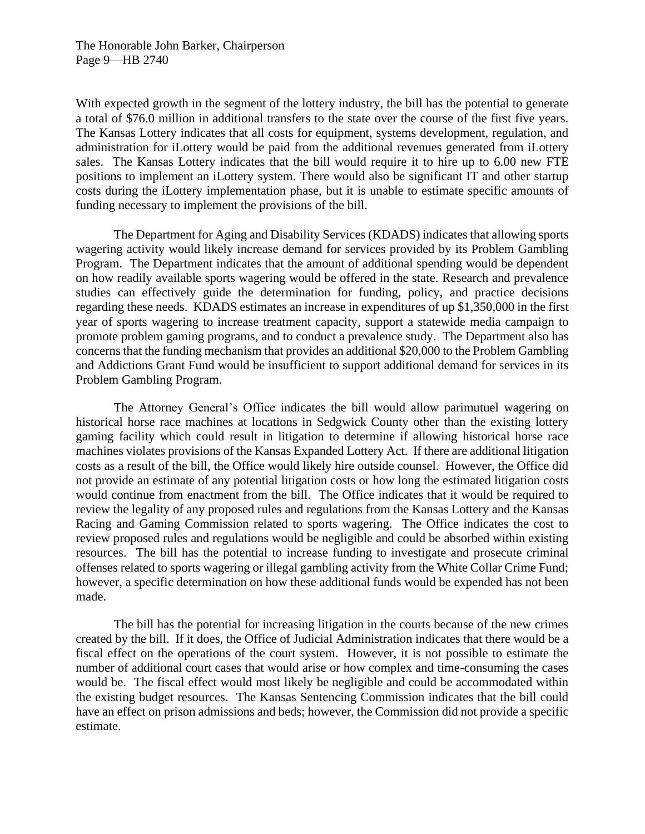With expected growth in the segment of the lottery industry, the bill has the potential to generate a total of \$76.0 million in additional transfers to the state over the course of the first five years. The Kansas Lottery indicates that all costs for equipment, systems development, regulation, and administration for iLottery would be paid from the additional revenues generated from iLottery sales. The Kansas Lottery indicates that the bill would require it to hire up to 6.00 new FTE positions to implement an iLottery system. There would also be significant IT and other startup costs during the iLottery implementation phase, but it is unable to estimate specific amounts of funding necessary to implement the provisions of the bill.

The Department for Aging and Disability Services (KDADS) indicates that allowing sports wagering activity would likely increase demand for services provided by its Problem Gambling Program. The Department indicates that the amount of additional spending would be dependent on how readily available sports wagering would be offered in the state. Research and prevalence studies can effectively guide the determination for funding, policy, and practice decisions regarding these needs. KDADS estimates an increase in expenditures of up \$1,350,000 in the first year of sports wagering to increase treatment capacity, support a statewide media campaign to promote problem gaming programs, and to conduct a prevalence study. The Department also has concerns that the funding mechanism that provides an additional \$20,000 to the Problem Gambling and Addictions Grant Fund would be insufficient to support additional demand for services in its Problem Gambling Program.

The Attorney General's Office indicates the bill would allow parimutuel wagering on historical horse race machines at locations in Sedgwick County other than the existing lottery gaming facility which could result in litigation to determine if allowing historical horse race machines violates provisions of the Kansas Expanded Lottery Act. If there are additional litigation costs as a result of the bill, the Office would likely hire outside counsel. However, the Office did not provide an estimate of any potential litigation costs or how long the estimated litigation costs would continue from enactment from the bill. The Office indicates that it would be required to review the legality of any proposed rules and regulations from the Kansas Lottery and the Kansas Racing and Gaming Commission related to sports wagering. The Office indicates the cost to review proposed rules and regulations would be negligible and could be absorbed within existing resources. The bill has the potential to increase funding to investigate and prosecute criminal offenses related to sports wagering or illegal gambling activity from the White Collar Crime Fund; however, a specific determination on how these additional funds would be expended has not been made.

The bill has the potential for increasing litigation in the courts because of the new crimes created by the bill. If it does, the Office of Judicial Administration indicates that there would be a fiscal effect on the operations of the court system. However, it is not possible to estimate the number of additional court cases that would arise or how complex and time-consuming the cases would be. The fiscal effect would most likely be negligible and could be accommodated within the existing budget resources. The Kansas Sentencing Commission indicates that the bill could have an effect on prison admissions and beds; however, the Commission did not provide a specific estimate.